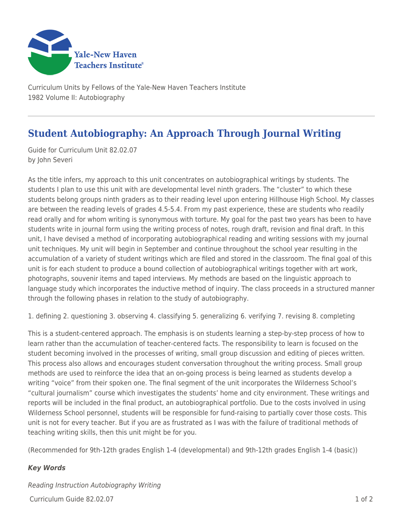

Curriculum Units by Fellows of the Yale-New Haven Teachers Institute 1982 Volume II: Autobiography

## **Student Autobiography: An Approach Through Journal Writing**

Guide for Curriculum Unit 82.02.07 by John Severi

As the title infers, my approach to this unit concentrates on autobiographical writings by students. The students I plan to use this unit with are developmental level ninth graders. The "cluster" to which these students belong groups ninth graders as to their reading level upon entering Hillhouse High School. My classes are between the reading levels of grades 4.5-5.4. From my past experience, these are students who readily read orally and for whom writing is synonymous with torture. My goal for the past two years has been to have students write in journal form using the writing process of notes, rough draft, revision and final draft. In this unit, I have devised a method of incorporating autobiographical reading and writing sessions with my journal unit techniques. My unit will begin in September and continue throughout the school year resulting in the accumulation of a variety of student writings which are filed and stored in the classroom. The final goal of this unit is for each student to produce a bound collection of autobiographical writings together with art work, photographs, souvenir items and taped interviews. My methods are based on the linguistic approach to language study which incorporates the inductive method of inquiry. The class proceeds in a structured manner through the following phases in relation to the study of autobiography.

1. defining 2. questioning 3. observing 4. classifying 5. generalizing 6. verifying 7. revising 8. completing

This is a student-centered approach. The emphasis is on students learning a step-by-step process of how to learn rather than the accumulation of teacher-centered facts. The responsibility to learn is focused on the student becoming involved in the processes of writing, small group discussion and editing of pieces written. This process also allows and encourages student conversation throughout the writing process. Small group methods are used to reinforce the idea that an on-going process is being learned as students develop a writing "voice" from their spoken one. The final segment of the unit incorporates the Wilderness School's "cultural journalism" course which investigates the students' home and city environment. These writings and reports will be included in the final product, an autobiographical portfolio. Due to the costs involved in using Wilderness School personnel, students will be responsible for fund-raising to partially cover those costs. This unit is not for every teacher. But if you are as frustrated as I was with the failure of traditional methods of teaching writing skills, then this unit might be for you.

(Recommended for 9th-12th grades English 1-4 (developmental) and 9th-12th grades English 1-4 (basic))

## *Key Words*

 $Curir$  Curriculum Guide 82.02.07  $\qquad \qquad$  1 of 2 Reading Instruction Autobiography Writing